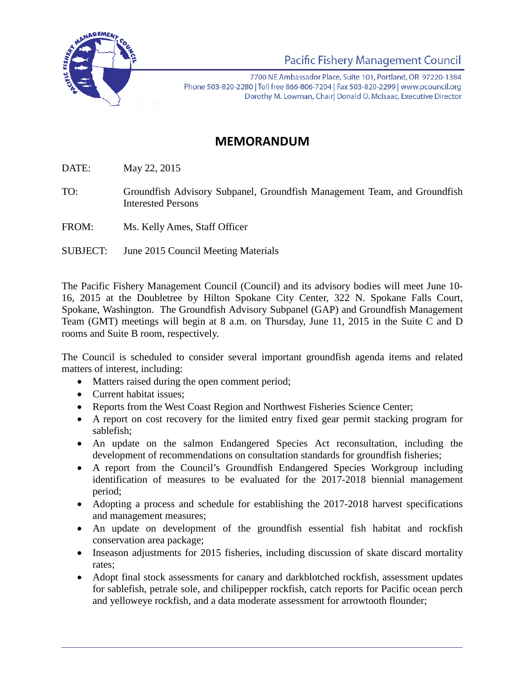

Pacific Fishery Management Council

7700 NE Ambassador Place, Suite 101, Portland, OR 97220-1384 Phone 503-820-2280 | Toll free 866-806-7204 | Fax 503-820-2299 | www.pcouncil.org Dorothy M. Lowman, Chairl Donald O. McIsaac, Executive Director

## **MEMORANDUM**

DATE: May 22, 2015

TO: Groundfish Advisory Subpanel, Groundfish Management Team, and Groundfish Interested Persons

FROM: Ms. Kelly Ames, Staff Officer

SUBJECT: June 2015 Council Meeting Materials

The Pacific Fishery Management Council (Council) and its advisory bodies will meet June 10- 16, 2015 at the Doubletree by Hilton Spokane City Center, 322 N. Spokane Falls Court, Spokane, Washington. The Groundfish Advisory Subpanel (GAP) and Groundfish Management Team (GMT) meetings will begin at 8 a.m. on Thursday, June 11, 2015 in the Suite C and D rooms and Suite B room, respectively.

The Council is scheduled to consider several important groundfish agenda items and related matters of interest, including:

- Matters raised during the open comment period;
- Current habitat issues;
- Reports from the West Coast Region and Northwest Fisheries Science Center;
- A report on cost recovery for the limited entry fixed gear permit stacking program for sablefish;
- An update on the salmon Endangered Species Act reconsultation, including the development of recommendations on consultation standards for groundfish fisheries;
- A report from the Council's Groundfish Endangered Species Workgroup including identification of measures to be evaluated for the 2017-2018 biennial management period;
- Adopting a process and schedule for establishing the 2017-2018 harvest specifications and management measures;
- An update on development of the groundfish essential fish habitat and rockfish conservation area package;
- Inseason adjustments for 2015 fisheries, including discussion of skate discard mortality rates;
- Adopt final stock assessments for canary and darkblotched rockfish, assessment updates for sablefish, petrale sole, and chilipepper rockfish, catch reports for Pacific ocean perch and yelloweye rockfish, and a data moderate assessment for arrowtooth flounder;